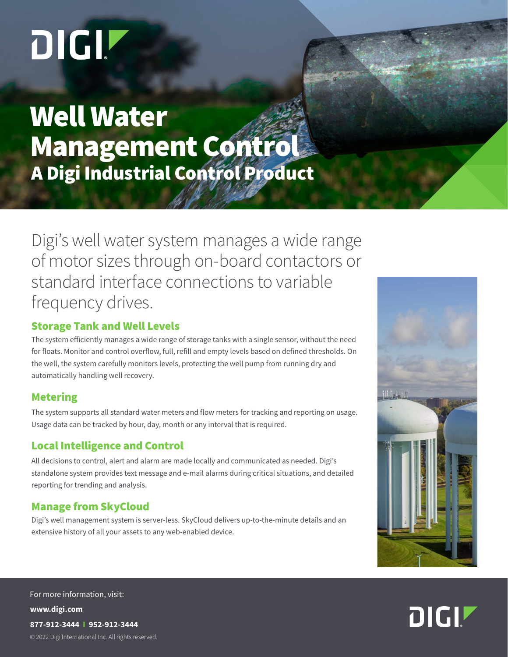# DIGIT

Well Water Management Control A Digi Industrial Control Product

Digi's well water system manages a wide range of motor sizes through on-board contactors or standard interface connections to variable frequency drives.

### Storage Tank and Well Levels

The system efficiently manages a wide range of storage tanks with a single sensor, without the need for floats. Monitor and control overflow, full, refill and empty levels based on defined thresholds. On the well, the system carefully monitors levels, protecting the well pump from running dry and automatically handling well recovery.

#### Metering

The system supports all standard water meters and flow meters for tracking and reporting on usage. Usage data can be tracked by hour, day, month or any interval that is required.

# Local Intelligence and Control

All decisions to control, alert and alarm are made locally and communicated as needed. Digi's standalone system provides text message and e-mail alarms during critical situations, and detailed reporting for trending and analysis.

# Manage from SkyCloud

Digi's well management system is server-less. SkyCloud delivers up-to-the-minute details and an extensive history of all your assets to any web-enabled device.





© 2022 Digi International Inc. All rights reserved. **www.digi.com 877-912-3444 I 952-912-3444** For more information, visit: